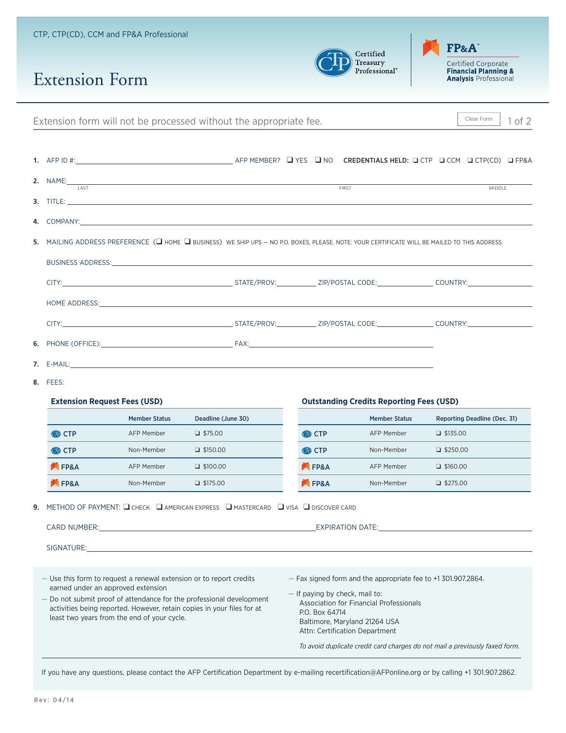|                                                                                                                                                                                                                                |                                                                                                                                                                                                                                                                                                                                                                             |                      | Extension form will not be processed without the appropriate fee.                                                                                                                                                                                                                                                                                                                                                                                                                                                                                                                       |                                                                                                                                                                                                                                                                                                                  |                                                 | Clear Form<br>1 of 2                                                                                                                                                                                                           |  |  |  |  |
|--------------------------------------------------------------------------------------------------------------------------------------------------------------------------------------------------------------------------------|-----------------------------------------------------------------------------------------------------------------------------------------------------------------------------------------------------------------------------------------------------------------------------------------------------------------------------------------------------------------------------|----------------------|-----------------------------------------------------------------------------------------------------------------------------------------------------------------------------------------------------------------------------------------------------------------------------------------------------------------------------------------------------------------------------------------------------------------------------------------------------------------------------------------------------------------------------------------------------------------------------------------|------------------------------------------------------------------------------------------------------------------------------------------------------------------------------------------------------------------------------------------------------------------------------------------------------------------|-------------------------------------------------|--------------------------------------------------------------------------------------------------------------------------------------------------------------------------------------------------------------------------------|--|--|--|--|
|                                                                                                                                                                                                                                |                                                                                                                                                                                                                                                                                                                                                                             |                      |                                                                                                                                                                                                                                                                                                                                                                                                                                                                                                                                                                                         |                                                                                                                                                                                                                                                                                                                  |                                                 |                                                                                                                                                                                                                                |  |  |  |  |
|                                                                                                                                                                                                                                |                                                                                                                                                                                                                                                                                                                                                                             |                      | 2. NAME:<br><b>3.</b> TITLE: <b>All and the contract of the contract of the contract of the contract of the contract of the contract of the contract of the contract of the contract of the contract of the contract of the contract of the contr</b>                                                                                                                                                                                                                                                                                                                                   | FIRST                                                                                                                                                                                                                                                                                                            |                                                 | <b>MIDDLE</b>                                                                                                                                                                                                                  |  |  |  |  |
| 4.                                                                                                                                                                                                                             |                                                                                                                                                                                                                                                                                                                                                                             |                      |                                                                                                                                                                                                                                                                                                                                                                                                                                                                                                                                                                                         |                                                                                                                                                                                                                                                                                                                  |                                                 |                                                                                                                                                                                                                                |  |  |  |  |
|                                                                                                                                                                                                                                |                                                                                                                                                                                                                                                                                                                                                                             |                      |                                                                                                                                                                                                                                                                                                                                                                                                                                                                                                                                                                                         |                                                                                                                                                                                                                                                                                                                  |                                                 |                                                                                                                                                                                                                                |  |  |  |  |
| 5.                                                                                                                                                                                                                             | MAILING ADDRESS PREFERENCE (□ HOME □ BUSINESS) WE SHIP UPS - NO P.O. BOXES, PLEASE. NOTE: YOUR CERTIFICATE WILL BE MAILED TO THIS ADDRESS.<br>BUSINESS ADDRESS: New York of the Contract of the Contract of the Contract of the Contract of the Contract of the Contract of the Contract of the Contract of the Contract of the Contract of the Contract of the Contract of |                      |                                                                                                                                                                                                                                                                                                                                                                                                                                                                                                                                                                                         |                                                                                                                                                                                                                                                                                                                  |                                                 |                                                                                                                                                                                                                                |  |  |  |  |
|                                                                                                                                                                                                                                |                                                                                                                                                                                                                                                                                                                                                                             |                      |                                                                                                                                                                                                                                                                                                                                                                                                                                                                                                                                                                                         |                                                                                                                                                                                                                                                                                                                  |                                                 |                                                                                                                                                                                                                                |  |  |  |  |
| HOME ADDRESS: North and the second contract of the second contract of the second contract of the second contract of the second contract of the second contract of the second contract of the second contract of the second con |                                                                                                                                                                                                                                                                                                                                                                             |                      |                                                                                                                                                                                                                                                                                                                                                                                                                                                                                                                                                                                         |                                                                                                                                                                                                                                                                                                                  |                                                 |                                                                                                                                                                                                                                |  |  |  |  |
|                                                                                                                                                                                                                                |                                                                                                                                                                                                                                                                                                                                                                             |                      |                                                                                                                                                                                                                                                                                                                                                                                                                                                                                                                                                                                         |                                                                                                                                                                                                                                                                                                                  |                                                 |                                                                                                                                                                                                                                |  |  |  |  |
| 6.                                                                                                                                                                                                                             |                                                                                                                                                                                                                                                                                                                                                                             |                      |                                                                                                                                                                                                                                                                                                                                                                                                                                                                                                                                                                                         |                                                                                                                                                                                                                                                                                                                  |                                                 |                                                                                                                                                                                                                                |  |  |  |  |
| 7.                                                                                                                                                                                                                             |                                                                                                                                                                                                                                                                                                                                                                             |                      |                                                                                                                                                                                                                                                                                                                                                                                                                                                                                                                                                                                         |                                                                                                                                                                                                                                                                                                                  |                                                 |                                                                                                                                                                                                                                |  |  |  |  |
| 8.                                                                                                                                                                                                                             | FEES:                                                                                                                                                                                                                                                                                                                                                                       |                      |                                                                                                                                                                                                                                                                                                                                                                                                                                                                                                                                                                                         |                                                                                                                                                                                                                                                                                                                  |                                                 |                                                                                                                                                                                                                                |  |  |  |  |
|                                                                                                                                                                                                                                | <b>Extension Request Fees (USD)</b>                                                                                                                                                                                                                                                                                                                                         |                      |                                                                                                                                                                                                                                                                                                                                                                                                                                                                                                                                                                                         |                                                                                                                                                                                                                                                                                                                  | <b>Outstanding Credits Reporting Fees (USD)</b> |                                                                                                                                                                                                                                |  |  |  |  |
|                                                                                                                                                                                                                                |                                                                                                                                                                                                                                                                                                                                                                             | <b>Member Status</b> | Deadline (June 30)                                                                                                                                                                                                                                                                                                                                                                                                                                                                                                                                                                      |                                                                                                                                                                                                                                                                                                                  | <b>Member Status</b>                            | Reporting Deadline (Dec. 31)                                                                                                                                                                                                   |  |  |  |  |
|                                                                                                                                                                                                                                | <b>OD</b> CTP                                                                                                                                                                                                                                                                                                                                                               | AFP Member           | $\Box$ \$75.00                                                                                                                                                                                                                                                                                                                                                                                                                                                                                                                                                                          | <b>OD</b> CTP                                                                                                                                                                                                                                                                                                    | AFP Member                                      | $\Box$ \$135.00                                                                                                                                                                                                                |  |  |  |  |
|                                                                                                                                                                                                                                | <b>OD CTP</b>                                                                                                                                                                                                                                                                                                                                                               | Non-Member           | $\Box$ \$150.00                                                                                                                                                                                                                                                                                                                                                                                                                                                                                                                                                                         | <b>OD CTP</b>                                                                                                                                                                                                                                                                                                    | Non-Member                                      | $\Box$ \$250.00                                                                                                                                                                                                                |  |  |  |  |
|                                                                                                                                                                                                                                | <b>EP&amp;A</b>                                                                                                                                                                                                                                                                                                                                                             | AFP Member           | $\Box$ \$100.00                                                                                                                                                                                                                                                                                                                                                                                                                                                                                                                                                                         | <b>EP&amp;A</b>                                                                                                                                                                                                                                                                                                  | <b>AFP Member</b>                               | $\Box$ \$160.00                                                                                                                                                                                                                |  |  |  |  |
|                                                                                                                                                                                                                                | <b>FP&amp;A</b>                                                                                                                                                                                                                                                                                                                                                             | Non-Member           | $\Box$ \$175.00                                                                                                                                                                                                                                                                                                                                                                                                                                                                                                                                                                         | <b>EP&amp;A</b>                                                                                                                                                                                                                                                                                                  | Non-Member                                      | $\Box$ \$275.00                                                                                                                                                                                                                |  |  |  |  |
|                                                                                                                                                                                                                                |                                                                                                                                                                                                                                                                                                                                                                             |                      | <b>9.</b> METHOD OF PAYMENT: $\Box$ check $\Box$ american express $\Box$ mastercard $\Box$ visa $\Box$ discover card<br>CARD NUMBER: The contract of the contract of the contract of the contract of the contract of the contract of the contract of the contract of the contract of the contract of the contract of the contract of the contract of t<br>SIGNATURE: A CONSERVATION CONTINUES AND A CONSERVATION OF THE CONSERVATION OF THE CONSERVATION OF THE CONSERVATION OF THE CONSERVATION OF THE CONSERVATION OF THE CONSERVATION OF THE CONSERVATION OF THE CONSERVATION OF THE |                                                                                                                                                                                                                                                                                                                  |                                                 | EXPIRATION DATE: And the state of the state of the state of the state of the state of the state of the state of the state of the state of the state of the state of the state of the state of the state of the state of the st |  |  |  |  |
|                                                                                                                                                                                                                                | earned under an approved extension<br>least two years from the end of your cycle.                                                                                                                                                                                                                                                                                           |                      | - Use this form to request a renewal extension or to report credits<br>- Do not submit proof of attendance for the professional development<br>activities being reported. However, retain copies in your files for at                                                                                                                                                                                                                                                                                                                                                                   | - Fax signed form and the appropriate fee to +1 301.907.2864.<br>$-$ If paying by check, mail to:<br>Association for Financial Professionals<br>P.O. Box 64714<br>Baltimore, Maryland 21264 USA<br>Attn: Certification Department<br>To avoid duplicate credit card charges do not mail a previously faxed form. |                                                 |                                                                                                                                                                                                                                |  |  |  |  |
| If you have any questions, please contact the AFP Certification Department by e-mailing recertification@AFPonline.org or by calling +1 301.907.2862.<br>Rev: 04/14                                                             |                                                                                                                                                                                                                                                                                                                                                                             |                      |                                                                                                                                                                                                                                                                                                                                                                                                                                                                                                                                                                                         |                                                                                                                                                                                                                                                                                                                  |                                                 |                                                                                                                                                                                                                                |  |  |  |  |

## CTP, CTP(CD), CCM and FP&A Professional

Extension Form

 $\mbox{Certified}$ Treasury<br>Professional<sup>®</sup> D